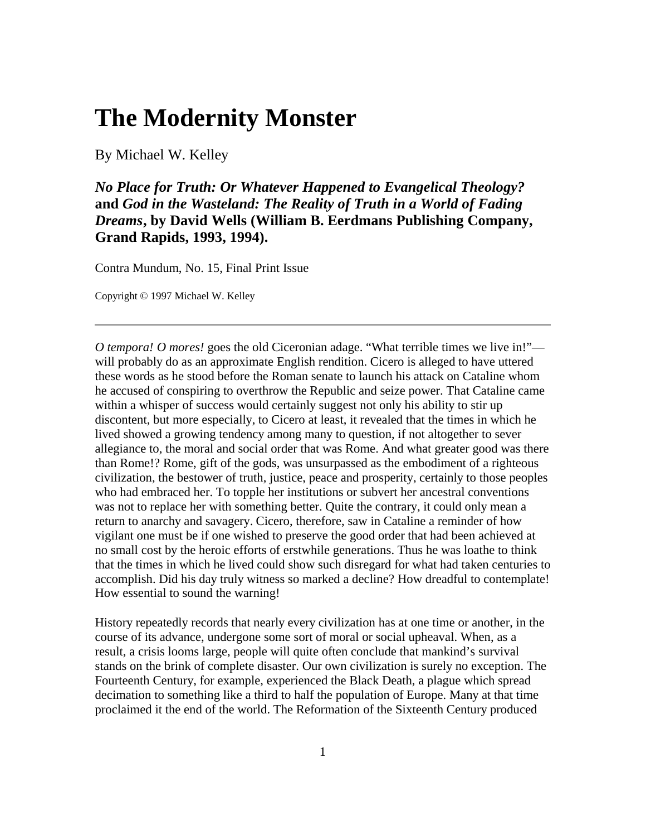## **The Modernity Monster**

By Michael W. Kelley

*No Place for Truth: Or Whatever Happened to Evangelical Theology?* **and** *God in the Wasteland: The Reality of Truth in a World of Fading Dreams***, by David Wells (William B. Eerdmans Publishing Company, Grand Rapids, 1993, 1994).** 

Contra Mundum, No. 15, Final Print Issue

Copyright © 1997 Michael W. Kelley

*O tempora! O mores!* goes the old Ciceronian adage. "What terrible times we live in!" will probably do as an approximate English rendition. Cicero is alleged to have uttered these words as he stood before the Roman senate to launch his attack on Cataline whom he accused of conspiring to overthrow the Republic and seize power. That Cataline came within a whisper of success would certainly suggest not only his ability to stir up discontent, but more especially, to Cicero at least, it revealed that the times in which he lived showed a growing tendency among many to question, if not altogether to sever allegiance to, the moral and social order that was Rome. And what greater good was there than Rome!? Rome, gift of the gods, was unsurpassed as the embodiment of a righteous civilization, the bestower of truth, justice, peace and prosperity, certainly to those peoples who had embraced her. To topple her institutions or subvert her ancestral conventions was not to replace her with something better. Quite the contrary, it could only mean a return to anarchy and savagery. Cicero, therefore, saw in Cataline a reminder of how vigilant one must be if one wished to preserve the good order that had been achieved at no small cost by the heroic efforts of erstwhile generations. Thus he was loathe to think that the times in which he lived could show such disregard for what had taken centuries to accomplish. Did his day truly witness so marked a decline? How dreadful to contemplate! How essential to sound the warning!

History repeatedly records that nearly every civilization has at one time or another, in the course of its advance, undergone some sort of moral or social upheaval. When, as a result, a crisis looms large, people will quite often conclude that mankind's survival stands on the brink of complete disaster. Our own civilization is surely no exception. The Fourteenth Century, for example, experienced the Black Death, a plague which spread decimation to something like a third to half the population of Europe. Many at that time proclaimed it the end of the world. The Reformation of the Sixteenth Century produced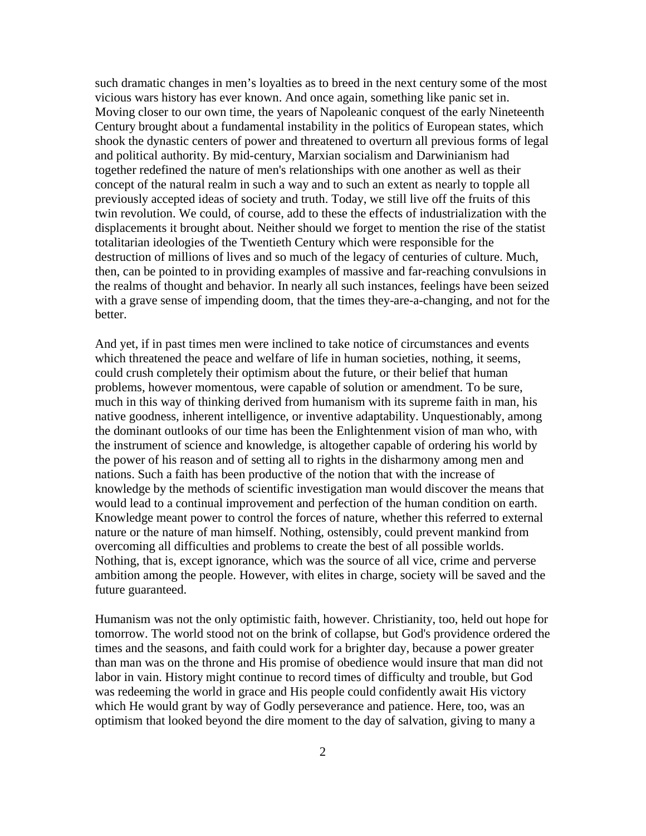such dramatic changes in men's loyalties as to breed in the next century some of the most vicious wars history has ever known. And once again, something like panic set in. Moving closer to our own time, the years of Napoleanic conquest of the early Nineteenth Century brought about a fundamental instability in the politics of European states, which shook the dynastic centers of power and threatened to overturn all previous forms of legal and political authority. By mid-century, Marxian socialism and Darwinianism had together redefined the nature of men's relationships with one another as well as their concept of the natural realm in such a way and to such an extent as nearly to topple all previously accepted ideas of society and truth. Today, we still live off the fruits of this twin revolution. We could, of course, add to these the effects of industrialization with the displacements it brought about. Neither should we forget to mention the rise of the statist totalitarian ideologies of the Twentieth Century which were responsible for the destruction of millions of lives and so much of the legacy of centuries of culture. Much, then, can be pointed to in providing examples of massive and far-reaching convulsions in the realms of thought and behavior. In nearly all such instances, feelings have been seized with a grave sense of impending doom, that the times they-are-a-changing, and not for the better.

And yet, if in past times men were inclined to take notice of circumstances and events which threatened the peace and welfare of life in human societies, nothing, it seems, could crush completely their optimism about the future, or their belief that human problems, however momentous, were capable of solution or amendment. To be sure, much in this way of thinking derived from humanism with its supreme faith in man, his native goodness, inherent intelligence, or inventive adaptability. Unquestionably, among the dominant outlooks of our time has been the Enlightenment vision of man who, with the instrument of science and knowledge, is altogether capable of ordering his world by the power of his reason and of setting all to rights in the disharmony among men and nations. Such a faith has been productive of the notion that with the increase of knowledge by the methods of scientific investigation man would discover the means that would lead to a continual improvement and perfection of the human condition on earth. Knowledge meant power to control the forces of nature, whether this referred to external nature or the nature of man himself. Nothing, ostensibly, could prevent mankind from overcoming all difficulties and problems to create the best of all possible worlds. Nothing, that is, except ignorance, which was the source of all vice, crime and perverse ambition among the people. However, with elites in charge, society will be saved and the future guaranteed.

Humanism was not the only optimistic faith, however. Christianity, too, held out hope for tomorrow. The world stood not on the brink of collapse, but God's providence ordered the times and the seasons, and faith could work for a brighter day, because a power greater than man was on the throne and His promise of obedience would insure that man did not labor in vain. History might continue to record times of difficulty and trouble, but God was redeeming the world in grace and His people could confidently await His victory which He would grant by way of Godly perseverance and patience. Here, too, was an optimism that looked beyond the dire moment to the day of salvation, giving to many a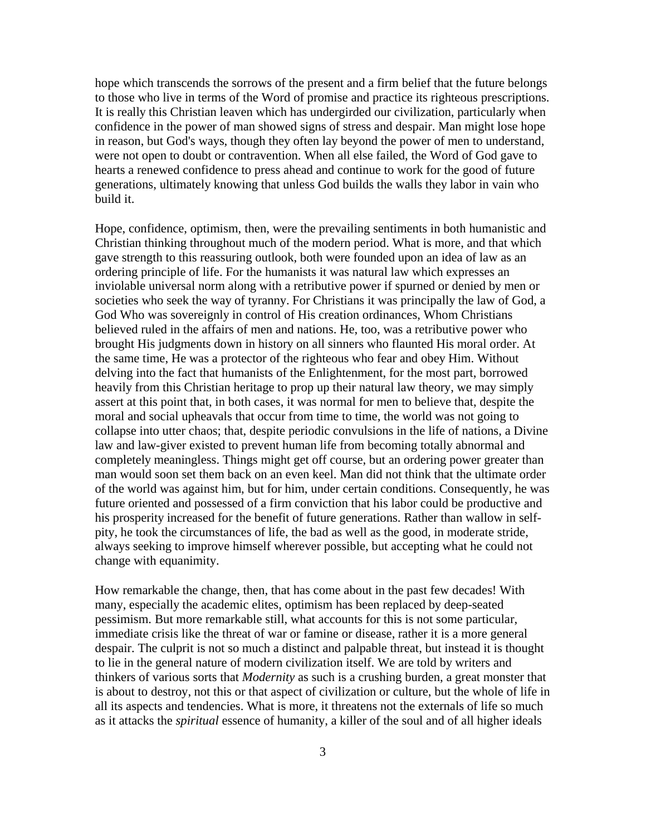hope which transcends the sorrows of the present and a firm belief that the future belongs to those who live in terms of the Word of promise and practice its righteous prescriptions. It is really this Christian leaven which has undergirded our civilization, particularly when confidence in the power of man showed signs of stress and despair. Man might lose hope in reason, but God's ways, though they often lay beyond the power of men to understand, were not open to doubt or contravention. When all else failed, the Word of God gave to hearts a renewed confidence to press ahead and continue to work for the good of future generations, ultimately knowing that unless God builds the walls they labor in vain who build it.

Hope, confidence, optimism, then, were the prevailing sentiments in both humanistic and Christian thinking throughout much of the modern period. What is more, and that which gave strength to this reassuring outlook, both were founded upon an idea of law as an ordering principle of life. For the humanists it was natural law which expresses an inviolable universal norm along with a retributive power if spurned or denied by men or societies who seek the way of tyranny. For Christians it was principally the law of God, a God Who was sovereignly in control of His creation ordinances, Whom Christians believed ruled in the affairs of men and nations. He, too, was a retributive power who brought His judgments down in history on all sinners who flaunted His moral order. At the same time, He was a protector of the righteous who fear and obey Him. Without delving into the fact that humanists of the Enlightenment, for the most part, borrowed heavily from this Christian heritage to prop up their natural law theory, we may simply assert at this point that, in both cases, it was normal for men to believe that, despite the moral and social upheavals that occur from time to time, the world was not going to collapse into utter chaos; that, despite periodic convulsions in the life of nations, a Divine law and law-giver existed to prevent human life from becoming totally abnormal and completely meaningless. Things might get off course, but an ordering power greater than man would soon set them back on an even keel. Man did not think that the ultimate order of the world was against him, but for him, under certain conditions. Consequently, he was future oriented and possessed of a firm conviction that his labor could be productive and his prosperity increased for the benefit of future generations. Rather than wallow in selfpity, he took the circumstances of life, the bad as well as the good, in moderate stride, always seeking to improve himself wherever possible, but accepting what he could not change with equanimity.

How remarkable the change, then, that has come about in the past few decades! With many, especially the academic elites, optimism has been replaced by deep-seated pessimism. But more remarkable still, what accounts for this is not some particular, immediate crisis like the threat of war or famine or disease, rather it is a more general despair. The culprit is not so much a distinct and palpable threat, but instead it is thought to lie in the general nature of modern civilization itself. We are told by writers and thinkers of various sorts that *Modernity* as such is a crushing burden, a great monster that is about to destroy, not this or that aspect of civilization or culture, but the whole of life in all its aspects and tendencies. What is more, it threatens not the externals of life so much as it attacks the *spiritual* essence of humanity, a killer of the soul and of all higher ideals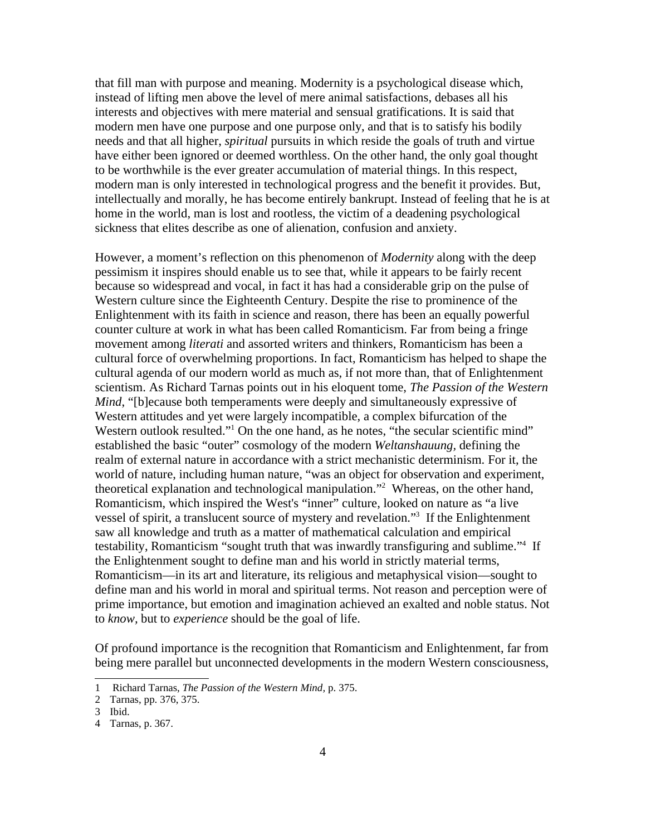that fill man with purpose and meaning. Modernity is a psychological disease which, instead of lifting men above the level of mere animal satisfactions, debases all his interests and objectives with mere material and sensual gratifications. It is said that modern men have one purpose and one purpose only, and that is to satisfy his bodily needs and that all higher, *spiritual* pursuits in which reside the goals of truth and virtue have either been ignored or deemed worthless. On the other hand, the only goal thought to be worthwhile is the ever greater accumulation of material things. In this respect, modern man is only interested in technological progress and the benefit it provides. But, intellectually and morally, he has become entirely bankrupt. Instead of feeling that he is at home in the world, man is lost and rootless, the victim of a deadening psychological sickness that elites describe as one of alienation, confusion and anxiety.

However, a moment's reflection on this phenomenon of *Modernity* along with the deep pessimism it inspires should enable us to see that, while it appears to be fairly recent because so widespread and vocal, in fact it has had a considerable grip on the pulse of Western culture since the Eighteenth Century. Despite the rise to prominence of the Enlightenment with its faith in science and reason, there has been an equally powerful counter culture at work in what has been called Romanticism. Far from being a fringe movement among *literati* and assorted writers and thinkers, Romanticism has been a cultural force of overwhelming proportions. In fact, Romanticism has helped to shape the cultural agenda of our modern world as much as, if not more than, that of Enlightenment scientism. As Richard Tarnas points out in his eloquent tome, *The Passion of the Western Mind*, "[b]ecause both temperaments were deeply and simultaneously expressive of Western attitudes and yet were largely incompatible, a complex bifurcation of the Western outlook resulted."<sup>1</sup> On the one hand, as he notes, "the secular scientific mind" established the basic "outer" cosmology of the modern *Weltanshauung,* defining the realm of external nature in accordance with a strict mechanistic determinism. For it, the world of nature, including human nature, "was an object for observation and experiment, theoretical explanation and technological manipulation."2 Whereas, on the other hand, Romanticism, which inspired the West's "inner" culture, looked on nature as "a live vessel of spirit, a translucent source of mystery and revelation."3 If the Enlightenment saw all knowledge and truth as a matter of mathematical calculation and empirical testability, Romanticism "sought truth that was inwardly transfiguring and sublime."4 If the Enlightenment sought to define man and his world in strictly material terms, Romanticism—in its art and literature, its religious and metaphysical vision—sought to define man and his world in moral and spiritual terms. Not reason and perception were of prime importance, but emotion and imagination achieved an exalted and noble status. Not to *know,* but to *experience* should be the goal of life.

Of profound importance is the recognition that Romanticism and Enlightenment, far from being mere parallel but unconnected developments in the modern Western consciousness,

<sup>1</sup> Richard Tarnas, *The Passion of the Western Mind,* p. 375.

<sup>2</sup> Tarnas, pp. 376, 375.

<sup>3</sup> Ibid.

<sup>4</sup> Tarnas, p. 367.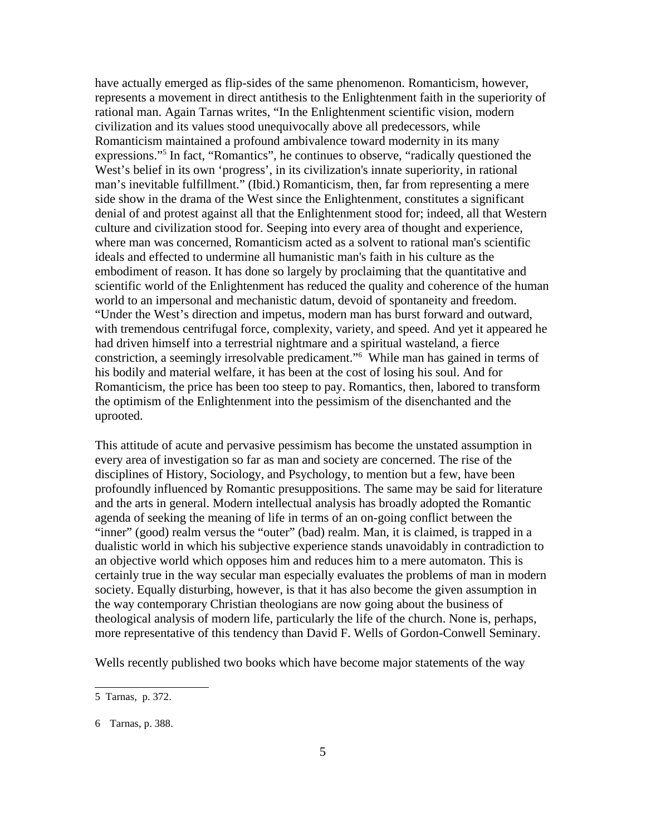have actually emerged as flip-sides of the same phenomenon. Romanticism, however, represents a movement in direct antithesis to the Enlightenment faith in the superiority of rational man. Again Tarnas writes, "In the Enlightenment scientific vision, modern civilization and its values stood unequivocally above all predecessors, while Romanticism maintained a profound ambivalence toward modernity in its many expressions."5 In fact, "Romantics", he continues to observe, "radically questioned the West's belief in its own 'progress', in its civilization's innate superiority, in rational man's inevitable fulfillment." (Ibid.) Romanticism, then, far from representing a mere side show in the drama of the West since the Enlightenment, constitutes a significant denial of and protest against all that the Enlightenment stood for; indeed, all that Western culture and civilization stood for. Seeping into every area of thought and experience, where man was concerned, Romanticism acted as a solvent to rational man's scientific ideals and effected to undermine all humanistic man's faith in his culture as the embodiment of reason. It has done so largely by proclaiming that the quantitative and scientific world of the Enlightenment has reduced the quality and coherence of the human world to an impersonal and mechanistic datum, devoid of spontaneity and freedom. "Under the West's direction and impetus, modern man has burst forward and outward, with tremendous centrifugal force, complexity, variety, and speed. And yet it appeared he had driven himself into a terrestrial nightmare and a spiritual wasteland, a fierce constriction, a seemingly irresolvable predicament."6 While man has gained in terms of his bodily and material welfare, it has been at the cost of losing his soul. And for Romanticism, the price has been too steep to pay. Romantics, then, labored to transform the optimism of the Enlightenment into the pessimism of the disenchanted and the uprooted.

This attitude of acute and pervasive pessimism has become the unstated assumption in every area of investigation so far as man and society are concerned. The rise of the disciplines of History, Sociology, and Psychology, to mention but a few, have been profoundly influenced by Romantic presuppositions. The same may be said for literature and the arts in general. Modern intellectual analysis has broadly adopted the Romantic agenda of seeking the meaning of life in terms of an on-going conflict between the "inner" (good) realm versus the "outer" (bad) realm. Man, it is claimed, is trapped in a dualistic world in which his subjective experience stands unavoidably in contradiction to an objective world which opposes him and reduces him to a mere automaton. This is certainly true in the way secular man especially evaluates the problems of man in modern society. Equally disturbing, however, is that it has also become the given assumption in the way contemporary Christian theologians are now going about the business of theological analysis of modern life, particularly the life of the church. None is, perhaps, more representative of this tendency than David F. Wells of Gordon-Conwell Seminary.

Wells recently published two books which have become major statements of the way

<sup>5</sup> Tarnas, p. 372.

<sup>6</sup> Tarnas, p. 388.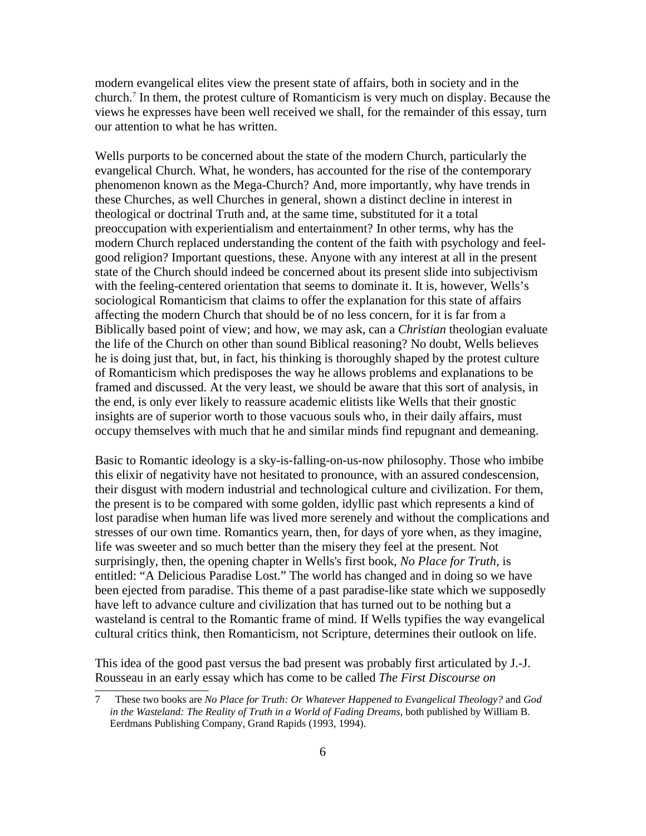modern evangelical elites view the present state of affairs, both in society and in the church.7 In them, the protest culture of Romanticism is very much on display. Because the views he expresses have been well received we shall, for the remainder of this essay, turn our attention to what he has written.

Wells purports to be concerned about the state of the modern Church, particularly the evangelical Church. What, he wonders, has accounted for the rise of the contemporary phenomenon known as the Mega-Church? And, more importantly, why have trends in these Churches, as well Churches in general, shown a distinct decline in interest in theological or doctrinal Truth and, at the same time, substituted for it a total preoccupation with experientialism and entertainment? In other terms, why has the modern Church replaced understanding the content of the faith with psychology and feelgood religion? Important questions, these. Anyone with any interest at all in the present state of the Church should indeed be concerned about its present slide into subjectivism with the feeling-centered orientation that seems to dominate it. It is, however, Wells's sociological Romanticism that claims to offer the explanation for this state of affairs affecting the modern Church that should be of no less concern, for it is far from a Biblically based point of view; and how, we may ask, can a *Christian* theologian evaluate the life of the Church on other than sound Biblical reasoning? No doubt, Wells believes he is doing just that, but, in fact, his thinking is thoroughly shaped by the protest culture of Romanticism which predisposes the way he allows problems and explanations to be framed and discussed. At the very least, we should be aware that this sort of analysis, in the end, is only ever likely to reassure academic elitists like Wells that their gnostic insights are of superior worth to those vacuous souls who, in their daily affairs, must occupy themselves with much that he and similar minds find repugnant and demeaning.

Basic to Romantic ideology is a sky-is-falling-on-us-now philosophy. Those who imbibe this elixir of negativity have not hesitated to pronounce, with an assured condescension, their disgust with modern industrial and technological culture and civilization. For them, the present is to be compared with some golden, idyllic past which represents a kind of lost paradise when human life was lived more serenely and without the complications and stresses of our own time. Romantics yearn, then, for days of yore when, as they imagine, life was sweeter and so much better than the misery they feel at the present. Not surprisingly, then, the opening chapter in Wells's first book, *No Place for Truth*, is entitled: "A Delicious Paradise Lost." The world has changed and in doing so we have been ejected from paradise. This theme of a past paradise-like state which we supposedly have left to advance culture and civilization that has turned out to be nothing but a wasteland is central to the Romantic frame of mind. If Wells typifies the way evangelical cultural critics think, then Romanticism, not Scripture, determines their outlook on life.

This idea of the good past versus the bad present was probably first articulated by J.-J. Rousseau in an early essay which has come to be called *The First Discourse on*

<sup>7</sup> These two books are *No Place for Truth: Or Whatever Happened to Evangelical Theology?* and *God in the Wasteland: The Reality of Truth in a World of Fading Dreams*, both published by William B. Eerdmans Publishing Company, Grand Rapids (1993, 1994).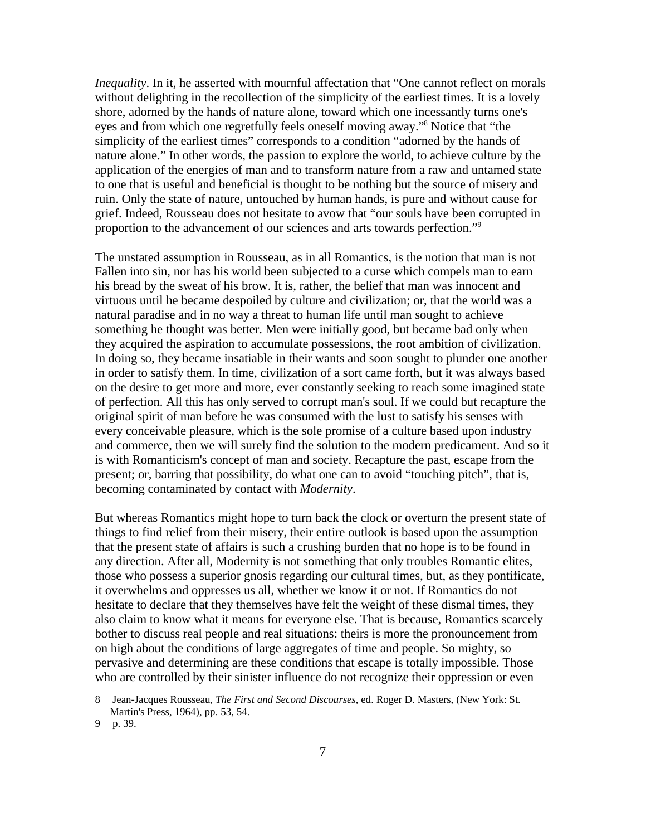*Inequality*. In it, he asserted with mournful affectation that "One cannot reflect on morals without delighting in the recollection of the simplicity of the earliest times. It is a lovely shore, adorned by the hands of nature alone, toward which one incessantly turns one's eyes and from which one regretfully feels oneself moving away."8 Notice that "the simplicity of the earliest times" corresponds to a condition "adorned by the hands of nature alone." In other words, the passion to explore the world, to achieve culture by the application of the energies of man and to transform nature from a raw and untamed state to one that is useful and beneficial is thought to be nothing but the source of misery and ruin. Only the state of nature, untouched by human hands, is pure and without cause for grief. Indeed, Rousseau does not hesitate to avow that "our souls have been corrupted in proportion to the advancement of our sciences and arts towards perfection."9

The unstated assumption in Rousseau, as in all Romantics, is the notion that man is not Fallen into sin, nor has his world been subjected to a curse which compels man to earn his bread by the sweat of his brow. It is, rather, the belief that man was innocent and virtuous until he became despoiled by culture and civilization; or, that the world was a natural paradise and in no way a threat to human life until man sought to achieve something he thought was better. Men were initially good, but became bad only when they acquired the aspiration to accumulate possessions, the root ambition of civilization. In doing so, they became insatiable in their wants and soon sought to plunder one another in order to satisfy them. In time, civilization of a sort came forth, but it was always based on the desire to get more and more, ever constantly seeking to reach some imagined state of perfection. All this has only served to corrupt man's soul. If we could but recapture the original spirit of man before he was consumed with the lust to satisfy his senses with every conceivable pleasure, which is the sole promise of a culture based upon industry and commerce, then we will surely find the solution to the modern predicament. And so it is with Romanticism's concept of man and society. Recapture the past, escape from the present; or, barring that possibility, do what one can to avoid "touching pitch", that is, becoming contaminated by contact with *Modernity*.

But whereas Romantics might hope to turn back the clock or overturn the present state of things to find relief from their misery, their entire outlook is based upon the assumption that the present state of affairs is such a crushing burden that no hope is to be found in any direction. After all, Modernity is not something that only troubles Romantic elites, those who possess a superior gnosis regarding our cultural times, but, as they pontificate, it overwhelms and oppresses us all, whether we know it or not. If Romantics do not hesitate to declare that they themselves have felt the weight of these dismal times, they also claim to know what it means for everyone else. That is because, Romantics scarcely bother to discuss real people and real situations: theirs is more the pronouncement from on high about the conditions of large aggregates of time and people. So mighty, so pervasive and determining are these conditions that escape is totally impossible. Those who are controlled by their sinister influence do not recognize their oppression or even

<sup>8</sup> Jean-Jacques Rousseau, *The First and Second Discourses*, ed. Roger D. Masters, (New York: St. Martin's Press, 1964), pp. 53, 54.

<sup>9</sup> p. 39.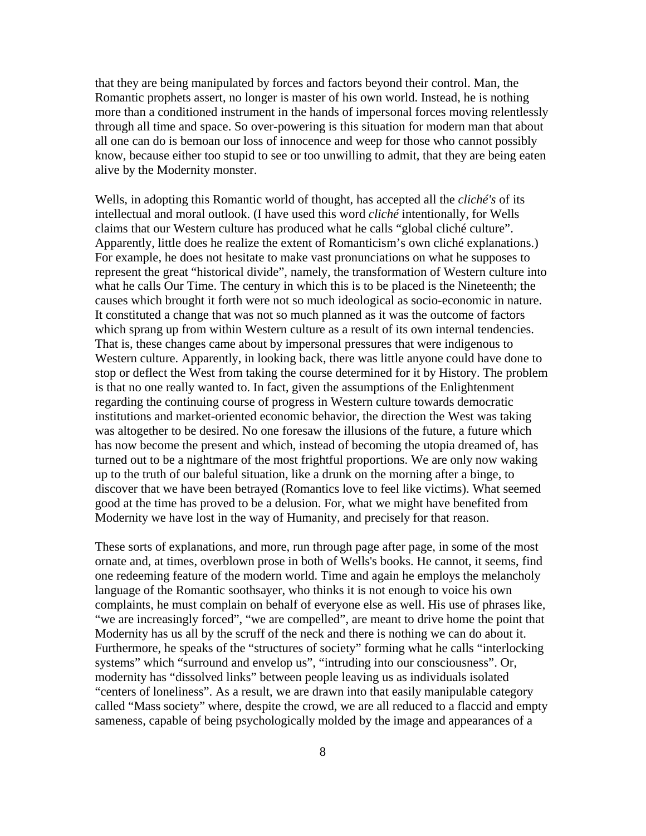that they are being manipulated by forces and factors beyond their control. Man, the Romantic prophets assert, no longer is master of his own world. Instead, he is nothing more than a conditioned instrument in the hands of impersonal forces moving relentlessly through all time and space. So over-powering is this situation for modern man that about all one can do is bemoan our loss of innocence and weep for those who cannot possibly know, because either too stupid to see or too unwilling to admit, that they are being eaten alive by the Modernity monster.

Wells, in adopting this Romantic world of thought, has accepted all the *cliché's* of its intellectual and moral outlook. (I have used this word *cliché* intentionally, for Wells claims that our Western culture has produced what he calls "global cliché culture". Apparently, little does he realize the extent of Romanticism's own cliché explanations.) For example, he does not hesitate to make vast pronunciations on what he supposes to represent the great "historical divide", namely, the transformation of Western culture into what he calls Our Time. The century in which this is to be placed is the Nineteenth; the causes which brought it forth were not so much ideological as socio-economic in nature. It constituted a change that was not so much planned as it was the outcome of factors which sprang up from within Western culture as a result of its own internal tendencies. That is, these changes came about by impersonal pressures that were indigenous to Western culture. Apparently, in looking back, there was little anyone could have done to stop or deflect the West from taking the course determined for it by History. The problem is that no one really wanted to. In fact, given the assumptions of the Enlightenment regarding the continuing course of progress in Western culture towards democratic institutions and market-oriented economic behavior, the direction the West was taking was altogether to be desired. No one foresaw the illusions of the future, a future which has now become the present and which, instead of becoming the utopia dreamed of, has turned out to be a nightmare of the most frightful proportions. We are only now waking up to the truth of our baleful situation, like a drunk on the morning after a binge, to discover that we have been betrayed (Romantics love to feel like victims). What seemed good at the time has proved to be a delusion. For, what we might have benefited from Modernity we have lost in the way of Humanity, and precisely for that reason.

These sorts of explanations, and more, run through page after page, in some of the most ornate and, at times, overblown prose in both of Wells's books. He cannot, it seems, find one redeeming feature of the modern world. Time and again he employs the melancholy language of the Romantic soothsayer, who thinks it is not enough to voice his own complaints, he must complain on behalf of everyone else as well. His use of phrases like, "we are increasingly forced", "we are compelled", are meant to drive home the point that Modernity has us all by the scruff of the neck and there is nothing we can do about it. Furthermore, he speaks of the "structures of society" forming what he calls "interlocking systems" which "surround and envelop us", "intruding into our consciousness". Or, modernity has "dissolved links" between people leaving us as individuals isolated "centers of loneliness". As a result, we are drawn into that easily manipulable category called "Mass society" where, despite the crowd, we are all reduced to a flaccid and empty sameness, capable of being psychologically molded by the image and appearances of a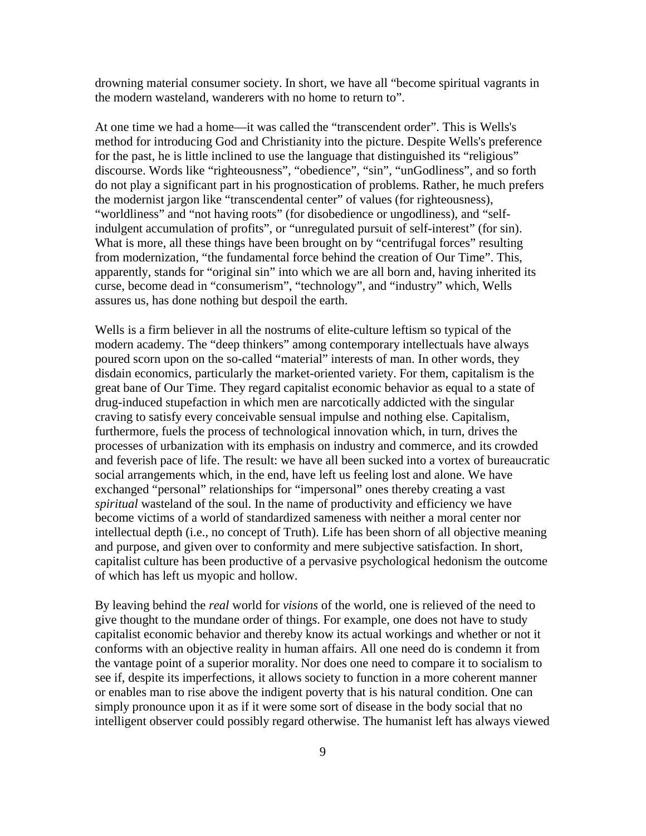drowning material consumer society. In short, we have all "become spiritual vagrants in the modern wasteland, wanderers with no home to return to".

At one time we had a home—it was called the "transcendent order". This is Wells's method for introducing God and Christianity into the picture. Despite Wells's preference for the past, he is little inclined to use the language that distinguished its "religious" discourse. Words like "righteousness", "obedience", "sin", "unGodliness", and so forth do not play a significant part in his prognostication of problems. Rather, he much prefers the modernist jargon like "transcendental center" of values (for righteousness), "worldliness" and "not having roots" (for disobedience or ungodliness), and "selfindulgent accumulation of profits", or "unregulated pursuit of self-interest" (for sin). What is more, all these things have been brought on by "centrifugal forces" resulting from modernization, "the fundamental force behind the creation of Our Time". This, apparently, stands for "original sin" into which we are all born and, having inherited its curse, become dead in "consumerism", "technology", and "industry" which, Wells assures us, has done nothing but despoil the earth.

Wells is a firm believer in all the nostrums of elite-culture leftism so typical of the modern academy. The "deep thinkers" among contemporary intellectuals have always poured scorn upon on the so-called "material" interests of man. In other words, they disdain economics, particularly the market-oriented variety. For them, capitalism is the great bane of Our Time. They regard capitalist economic behavior as equal to a state of drug-induced stupefaction in which men are narcotically addicted with the singular craving to satisfy every conceivable sensual impulse and nothing else. Capitalism, furthermore, fuels the process of technological innovation which, in turn, drives the processes of urbanization with its emphasis on industry and commerce, and its crowded and feverish pace of life. The result: we have all been sucked into a vortex of bureaucratic social arrangements which, in the end, have left us feeling lost and alone. We have exchanged "personal" relationships for "impersonal" ones thereby creating a vast *spiritual* wasteland of the soul. In the name of productivity and efficiency we have become victims of a world of standardized sameness with neither a moral center nor intellectual depth (i.e., no concept of Truth). Life has been shorn of all objective meaning and purpose, and given over to conformity and mere subjective satisfaction. In short, capitalist culture has been productive of a pervasive psychological hedonism the outcome of which has left us myopic and hollow.

By leaving behind the *real* world for *visions* of the world, one is relieved of the need to give thought to the mundane order of things. For example, one does not have to study capitalist economic behavior and thereby know its actual workings and whether or not it conforms with an objective reality in human affairs. All one need do is condemn it from the vantage point of a superior morality. Nor does one need to compare it to socialism to see if, despite its imperfections, it allows society to function in a more coherent manner or enables man to rise above the indigent poverty that is his natural condition. One can simply pronounce upon it as if it were some sort of disease in the body social that no intelligent observer could possibly regard otherwise. The humanist left has always viewed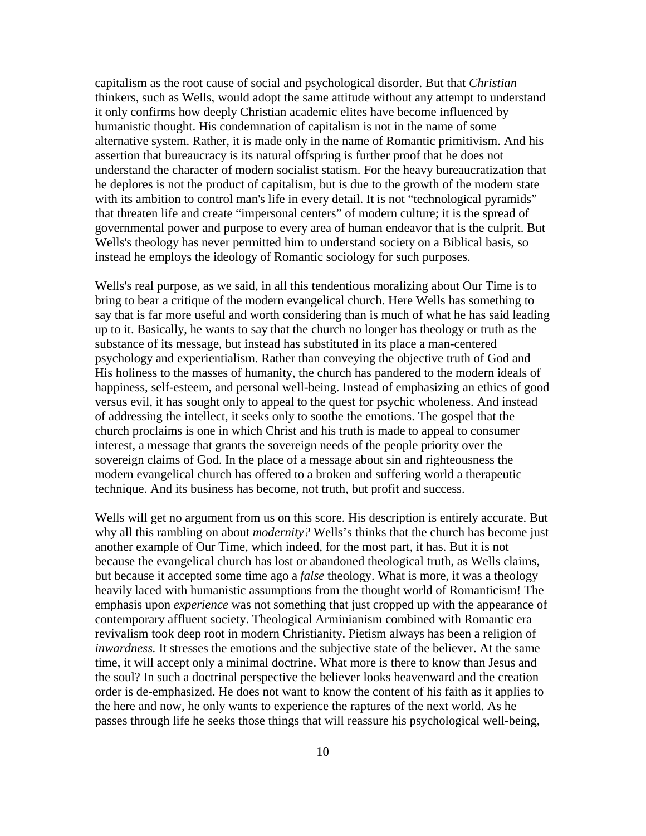capitalism as the root cause of social and psychological disorder. But that *Christian* thinkers, such as Wells, would adopt the same attitude without any attempt to understand it only confirms how deeply Christian academic elites have become influenced by humanistic thought. His condemnation of capitalism is not in the name of some alternative system. Rather, it is made only in the name of Romantic primitivism. And his assertion that bureaucracy is its natural offspring is further proof that he does not understand the character of modern socialist statism. For the heavy bureaucratization that he deplores is not the product of capitalism, but is due to the growth of the modern state with its ambition to control man's life in every detail. It is not "technological pyramids" that threaten life and create "impersonal centers" of modern culture; it is the spread of governmental power and purpose to every area of human endeavor that is the culprit. But Wells's theology has never permitted him to understand society on a Biblical basis, so instead he employs the ideology of Romantic sociology for such purposes.

Wells's real purpose, as we said, in all this tendentious moralizing about Our Time is to bring to bear a critique of the modern evangelical church. Here Wells has something to say that is far more useful and worth considering than is much of what he has said leading up to it. Basically, he wants to say that the church no longer has theology or truth as the substance of its message, but instead has substituted in its place a man-centered psychology and experientialism. Rather than conveying the objective truth of God and His holiness to the masses of humanity, the church has pandered to the modern ideals of happiness, self-esteem, and personal well-being. Instead of emphasizing an ethics of good versus evil, it has sought only to appeal to the quest for psychic wholeness. And instead of addressing the intellect, it seeks only to soothe the emotions. The gospel that the church proclaims is one in which Christ and his truth is made to appeal to consumer interest, a message that grants the sovereign needs of the people priority over the sovereign claims of God. In the place of a message about sin and righteousness the modern evangelical church has offered to a broken and suffering world a therapeutic technique. And its business has become, not truth, but profit and success.

Wells will get no argument from us on this score. His description is entirely accurate. But why all this rambling on about *modernity?* Wells's thinks that the church has become just another example of Our Time, which indeed, for the most part, it has. But it is not because the evangelical church has lost or abandoned theological truth, as Wells claims, but because it accepted some time ago a *false* theology. What is more, it was a theology heavily laced with humanistic assumptions from the thought world of Romanticism! The emphasis upon *experience* was not something that just cropped up with the appearance of contemporary affluent society. Theological Arminianism combined with Romantic era revivalism took deep root in modern Christianity. Pietism always has been a religion of *inwardness.* It stresses the emotions and the subjective state of the believer. At the same time, it will accept only a minimal doctrine. What more is there to know than Jesus and the soul? In such a doctrinal perspective the believer looks heavenward and the creation order is de-emphasized. He does not want to know the content of his faith as it applies to the here and now, he only wants to experience the raptures of the next world. As he passes through life he seeks those things that will reassure his psychological well-being,